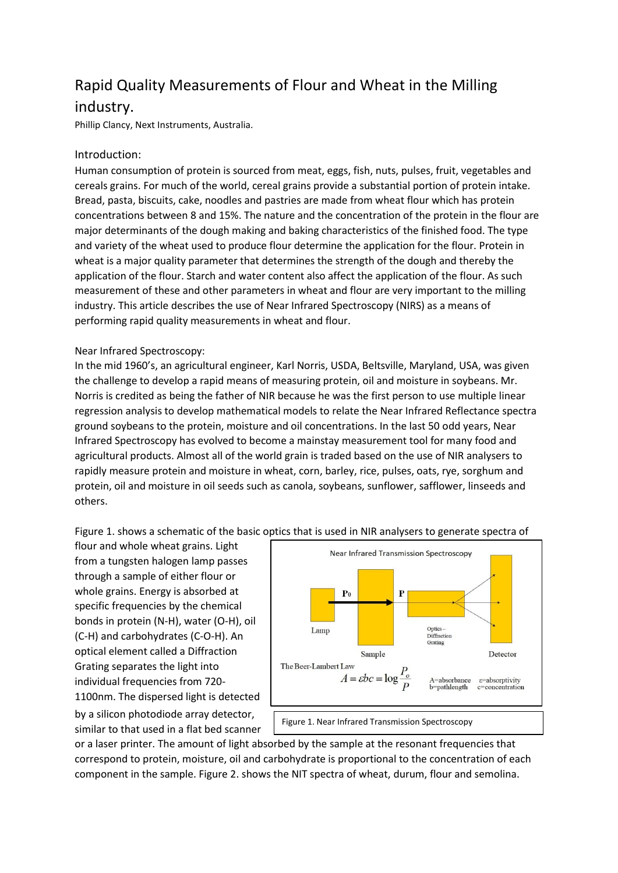## Rapid Quality Measurements of Flour and Wheat in the Milling industry.

Phillip Clancy, Next Instruments, Australia.

## Introduction:

Human consumption of protein is sourced from meat, eggs, fish, nuts, pulses, fruit, vegetables and cereals grains. For much of the world, cereal grains provide a substantial portion of protein intake. Bread, pasta, biscuits, cake, noodles and pastries are made from wheat flour which has protein concentrations between 8 and 15%. The nature and the concentration of the protein in the flour are major determinants of the dough making and baking characteristics of the finished food. The type and variety of the wheat used to produce flour determine the application for the flour. Protein in wheat is a major quality parameter that determines the strength of the dough and thereby the application of the flour. Starch and water content also affect the application of the flour. As such measurement of these and other parameters in wheat and flour are very important to the milling industry. This article describes the use of Near Infrared Spectroscopy (NIRS) as a means of performing rapid quality measurements in wheat and flour.

## Near Infrared Spectroscopy:

In the mid 1960's, an agricultural engineer, Karl Norris, USDA, Beltsville, Maryland, USA, was given the challenge to develop a rapid means of measuring protein, oil and moisture in soybeans. Mr. Norris is credited as being the father of NIR because he was the first person to use multiple linear regression analysis to develop mathematical models to relate the Near Infrared Reflectance spectra ground soybeans to the protein, moisture and oil concentrations. In the last 50 odd years, Near Infrared Spectroscopy has evolved to become a mainstay measurement tool for many food and agricultural products. Almost all of the world grain is traded based on the use of NIR analysers to rapidly measure protein and moisture in wheat, corn, barley, rice, pulses, oats, rye, sorghum and protein, oil and moisture in oil seeds such as canola, soybeans, sunflower, safflower, linseeds and others.

Figure 1. shows a schematic of the basic optics that is used in NIR analysers to generate spectra of

flour and whole wheat grains. Light from a tungsten halogen lamp passes through a sample of either flour or whole grains. Energy is absorbed at specific frequencies by the chemical bonds in protein (N-H), water (O-H), oil (C-H) and carbohydrates (C-O-H). An optical element called a Diffraction Grating separates the light into individual frequencies from 720- 1100nm. The dispersed light is detected by a silicon photodiode array detector, similar to that used in a flat bed scanner



or a laser printer. The amount of light absorbed by the sample at the resonant frequencies that correspond to protein, moisture, oil and carbohydrate is proportional to the concentration of each component in the sample. Figure 2. shows the NIT spectra of wheat, durum, flour and semolina.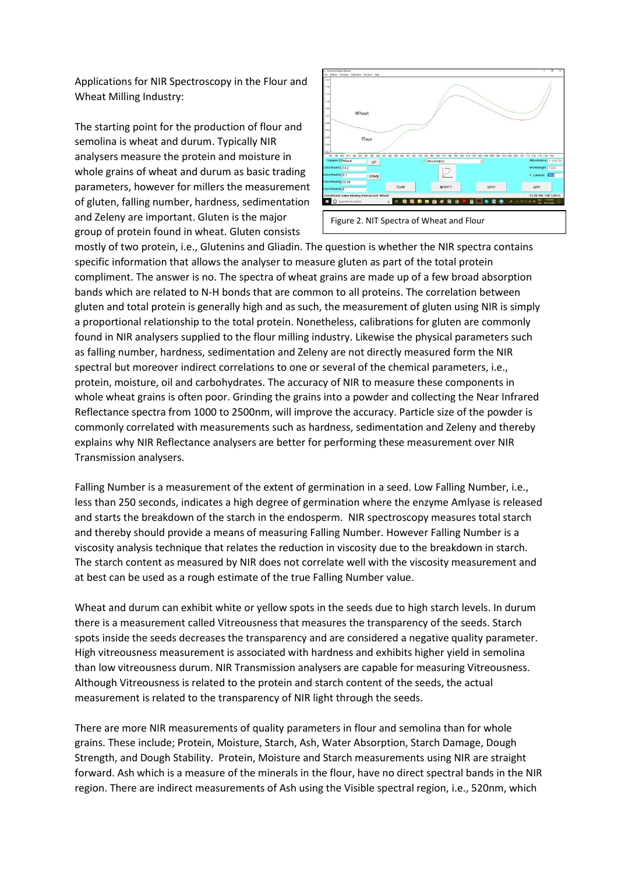Applications for NIR Spectroscopy in the Flour and Wheat Milling Industry:

The starting point for the production of flour and semolina is wheat and durum. Typically NIR analysers measure the protein and moisture in whole grains of wheat and durum as basic trading parameters, however for millers the measurement of gluten, falling number, hardness, sedimentation and Zeleny are important. Gluten is the major group of protein found in wheat. Gluten consists



mostly of two protein, i.e., Glutenins and Gliadin. The question is whether the NIR spectra contains specific information that allows the analyser to measure gluten as part of the total protein compliment. The answer is no. The spectra of wheat grains are made up of a few broad absorption bands which are related to N-H bonds that are common to all proteins. The correlation between gluten and total protein is generally high and as such, the measurement of gluten using NIR is simply a proportional relationship to the total protein. Nonetheless, calibrations for gluten are commonly found in NIR analysers supplied to the flour milling industry. Likewise the physical parameters such as falling number, hardness, sedimentation and Zeleny are not directly measured form the NIR spectral but moreover indirect correlations to one or several of the chemical parameters, i.e., protein, moisture, oil and carbohydrates. The accuracy of NIR to measure these components in whole wheat grains is often poor. Grinding the grains into a powder and collecting the Near Infrared Reflectance spectra from 1000 to 2500nm, will improve the accuracy. Particle size of the powder is commonly correlated with measurements such as hardness, sedimentation and Zeleny and thereby explains why NIR Reflectance analysers are better for performing these measurement over NIR Transmission analysers.

Falling Number is a measurement of the extent of germination in a seed. Low Falling Number, i.e., less than 250 seconds, indicates a high degree of germination where the enzyme Amlyase is released and starts the breakdown of the starch in the endosperm. NIR spectroscopy measures total starch and thereby should provide a means of measuring Falling Number. However Falling Number is a viscosity analysis technique that relates the reduction in viscosity due to the breakdown in starch. The starch content as measured by NIR does not correlate well with the viscosity measurement and at best can be used as a rough estimate of the true Falling Number value.

Wheat and durum can exhibit white or yellow spots in the seeds due to high starch levels. In durum there is a measurement called Vitreousness that measures the transparency of the seeds. Starch spots inside the seeds decreases the transparency and are considered a negative quality parameter. High vitreousness measurement is associated with hardness and exhibits higher yield in semolina than low vitreousness durum. NIR Transmission analysers are capable for measuring Vitreousness. Although Vitreousness is related to the protein and starch content of the seeds, the actual measurement is related to the transparency of NIR light through the seeds.

There are more NIR measurements of quality parameters in flour and semolina than for whole grains. These include; Protein, Moisture, Starch, Ash, Water Absorption, Starch Damage, Dough Strength, and Dough Stability. Protein, Moisture and Starch measurements using NIR are straight forward. Ash which is a measure of the minerals in the flour, have no direct spectral bands in the NIR region. There are indirect measurements of Ash using the Visible spectral region, i.e., 520nm, which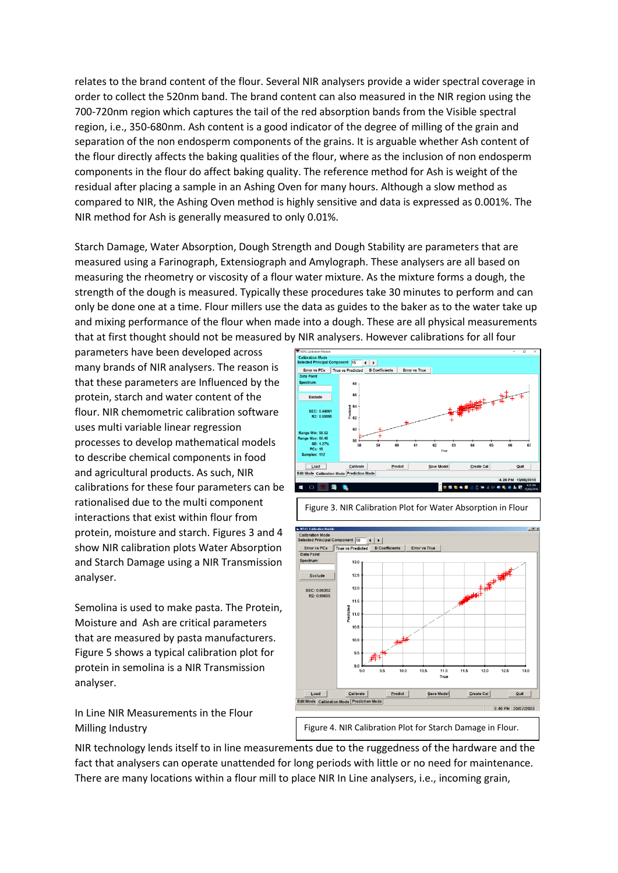relates to the brand content of the flour. Several NIR analysers provide a wider spectral coverage in order to collect the 520nm band. The brand content can also measured in the NIR region using the 700-720nm region which captures the tail of the red absorption bands from the Visible spectral region, i.e., 350-680nm. Ash content is a good indicator of the degree of milling of the grain and separation of the non endosperm components of the grains. It is arguable whether Ash content of the flour directly affects the baking qualities of the flour, where as the inclusion of non endosperm components in the flour do affect baking quality. The reference method for Ash is weight of the residual after placing a sample in an Ashing Oven for many hours. Although a slow method as compared to NIR, the Ashing Oven method is highly sensitive and data is expressed as 0.001%. The NIR method for Ash is generally measured to only 0.01%.

Starch Damage, Water Absorption, Dough Strength and Dough Stability are parameters that are measured using a Farinograph, Extensiograph and Amylograph. These analysers are all based on measuring the rheometry or viscosity of a flour water mixture. As the mixture forms a dough, the strength of the dough is measured. Typically these procedures take 30 minutes to perform and can only be done one at a time. Flour millers use the data as guides to the baker as to the water take up and mixing performance of the flour when made into a dough. These are all physical measurements that at first thought should not be measured by NIR analysers. However calibrations for all four

parameters have been developed across many brands of NIR analysers. The reason is that these parameters are Influenced by the protein, starch and water content of the flour. NIR chemometric calibration software uses multi variable linear regression processes to develop mathematical models to describe chemical components in food and agricultural products. As such, NIR calibrations for these four parameters can be rationalised due to the multi component interactions that exist within flour from protein, moisture and starch. Figures 3 and 4 show NIR calibration plots Water Absorption and Starch Damage using a NIR Transmission analyser.

Semolina is used to make pasta. The Protein, Moisture and Ash are critical parameters that are measured by pasta manufacturers. Figure 5 shows a typical calibration plot for protein in semolina is a NIR Transmission analyser.

In Line NIR Measurements in the Flour Milling Industry

NIR technology lends itself to in line measurements due to the ruggedness of the hardware and the fact that analysers can operate unattended for long periods with little or no need for maintenance. There are many locations within a flour mill to place NIR In Line analysers, i.e., incoming grain,





Figure 3. NIR Calibration Plot for Water Absorption in Flour